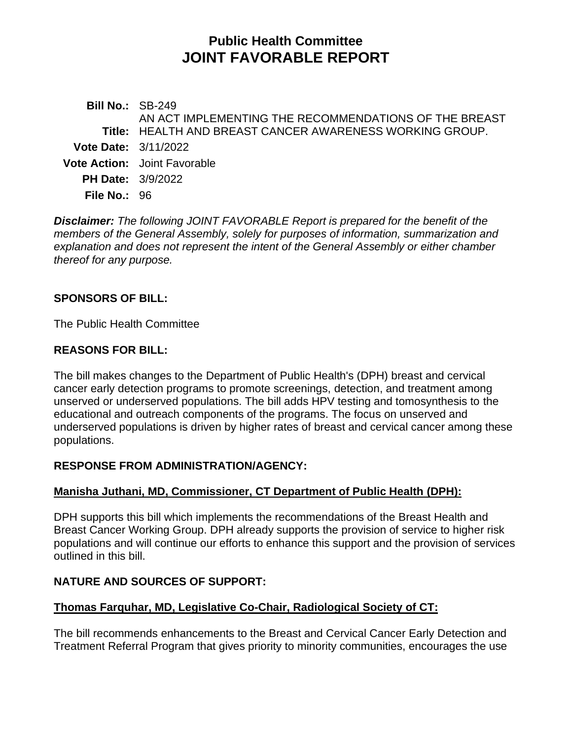# **Public Health Committee JOINT FAVORABLE REPORT**

**Bill No.:** SB-249 **Title:** HEALTH AND BREAST CANCER AWARENESS WORKING GROUP. AN ACT IMPLEMENTING THE RECOMMENDATIONS OF THE BREAST **Vote Date:** 3/11/2022 **Vote Action:** Joint Favorable **PH Date:** 3/9/2022 **File No.:** 96

*Disclaimer: The following JOINT FAVORABLE Report is prepared for the benefit of the members of the General Assembly, solely for purposes of information, summarization and explanation and does not represent the intent of the General Assembly or either chamber thereof for any purpose.*

# **SPONSORS OF BILL:**

The Public Health Committee

### **REASONS FOR BILL:**

The bill makes changes to the Department of Public Health's (DPH) breast and cervical cancer early detection programs to promote screenings, detection, and treatment among unserved or underserved populations. The bill adds HPV testing and tomosynthesis to the educational and outreach components of the programs. The focus on unserved and underserved populations is driven by higher rates of breast and cervical cancer among these populations.

# **RESPONSE FROM ADMINISTRATION/AGENCY:**

# **Manisha Juthani, MD, Commissioner, CT Department of Public Health (DPH):**

DPH supports this bill which implements the recommendations of the Breast Health and Breast Cancer Working Group. DPH already supports the provision of service to higher risk populations and will continue our efforts to enhance this support and the provision of services outlined in this bill.

# **NATURE AND SOURCES OF SUPPORT:**

#### **Thomas Farquhar, MD, Legislative Co-Chair, Radiological Society of CT:**

The bill recommends enhancements to the Breast and Cervical Cancer Early Detection and Treatment Referral Program that gives priority to minority communities, encourages the use